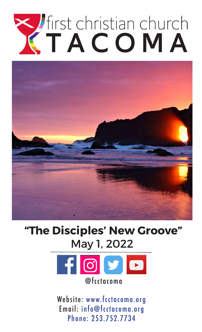# Tirst christian church



# **"The Disciples' New Groove"** May 1, 2022



Website: www.fcctacoma.org Email: info@fcctacoma.org Phone: 253.752.7734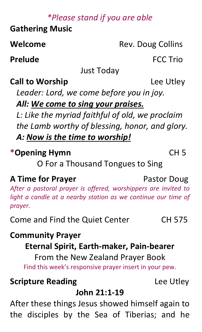# *\*Please stand if you are able*

**Gathering Music** 

**Welcome** Rev. Doug Collins

**Prelude FCC Trio** 

Just Today

# **Call to Worship** Lee Utley

*Leader: Lord, we come before you in joy.*

*All: We come to sing your praises.*

*L: Like the myriad faithful of old, we proclaim the Lamb worthy of blessing, honor, and glory. A: Now is the time to worship!*

# **\*Opening Hymn** CH 5

O For a Thousand Tongues to Sing

# **A Time for Prayer** Pastor Doug

*After a pastoral prayer is offered, worshippers are invited to light a candle at a nearby station as we continue our time of prayer.*

Come and Find the Quiet Center CH 575

# **Community Prayer**

# **Eternal Spirit, Earth-maker, Pain-bearer**

From the New Zealand Prayer Book Find this week's responsive prayer insert in your pew.

# **Scripture Reading Lee Utley**

# **John 21:1-19**

After these things Jesus showed himself again to the disciples by the Sea of Tiberias; and he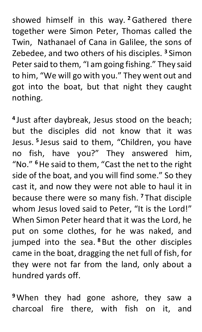showed himself in this way. **<sup>2</sup>**Gathered there together were Simon Peter, Thomas called the Twin, Nathanael of Cana in Galilee, the sons of Zebedee, and two others of his disciples. **<sup>3</sup>** Simon Peter said to them, "I am going fishing." They said to him, "We will go with you." They went out and got into the boat, but that night they caught nothing.

**<sup>4</sup>** Just after daybreak, Jesus stood on the beach; but the disciples did not know that it was Jesus. **<sup>5</sup>** Jesus said to them, "Children, you have no fish, have you?" They answered him, "No." **<sup>6</sup>**He said to them, "Cast the net to the right side of the boat, and you will find some." So they cast it, and now they were not able to haul it in because there were so many fish. **<sup>7</sup>** That disciple whom Jesus loved said to Peter, "It is the Lord!" When Simon Peter heard that it was the Lord, he put on some clothes, for he was naked, and jumped into the sea. **<sup>8</sup>** But the other disciples came in the boat, dragging the net full of fish, for they were not far from the land, only about a hundred yards off.

**<sup>9</sup>** When they had gone ashore, they saw a charcoal fire there, with fish on it, and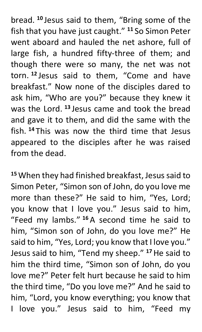bread. **<sup>10</sup>** Jesus said to them, "Bring some of the fish that you have just caught." **<sup>11</sup>** So Simon Peter went aboard and hauled the net ashore, full of large fish, a hundred fifty-three of them; and though there were so many, the net was not torn. **<sup>12</sup>** Jesus said to them, "Come and have breakfast." Now none of the disciples dared to ask him, "Who are you?" because they knew it was the Lord. **<sup>13</sup>** Jesus came and took the bread and gave it to them, and did the same with the fish. **<sup>14</sup>** This was now the third time that Jesus appeared to the disciples after he was raised from the dead.

<sup>15</sup> When they had finished breakfast, Jesus said to Simon Peter, "Simon son of John, do you love me more than these?" He said to him, "Yes, Lord; you know that I love you." Jesus said to him, "Feed my lambs." **<sup>16</sup>** A second time he said to him, "Simon son of John, do you love me?" He said to him, "Yes, Lord; you know that I love you." Jesus said to him, "Tend my sheep." **<sup>17</sup>**He said to him the third time, "Simon son of John, do you love me?" Peter felt hurt because he said to him the third time, "Do you love me?" And he said to him, "Lord, you know everything; you know that I love you." Jesus said to him, "Feed my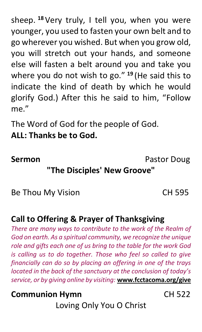sheep. **<sup>18</sup>** Very truly, I tell you, when you were younger, you used to fasten your own belt and to go wherever you wished. But when you grow old, you will stretch out your hands, and someone else will fasten a belt around you and take you where you do not wish to go." **<sup>19</sup>** (He said this to indicate the kind of death by which he would glorify God.) After this he said to him, "Follow me."

The Word of God for the people of God.

# **ALL: Thanks be to God.**

**Sermon** Pastor Doug

# **"The Disciples' New Groove"**

Be Thou My Vision CH 595

# **Call to Offering & Prayer of Thanksgiving**

*There are many ways to contribute to the work of the Realm of God on earth. As a spiritual community, we recognize the unique role and gifts each one of us bring to the table for the work God is calling us to do together. Those who feel so called to give financially can do so by placing an offering in one of the trays located in the back of the sanctuary at the conclusion of today's service, or by giving online by visiting:* **www.fcctacoma.org/give**

## **Communion Hymn** CH 522

Loving Only You O Christ